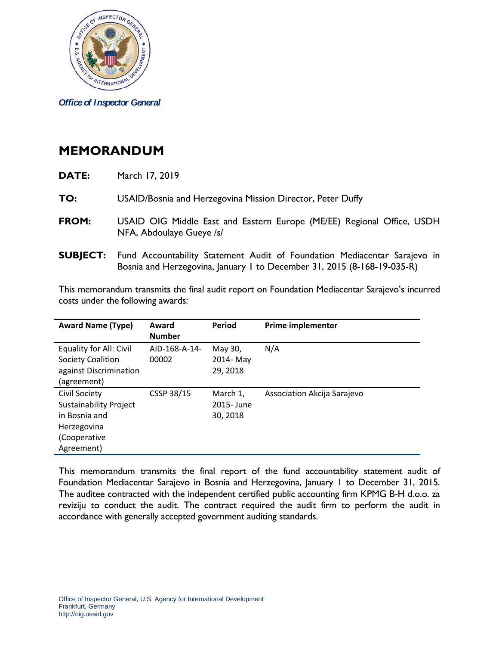

*Office of Inspector General*

## **MEMORANDUM**

| DATE: | March 17, 2019 |
|-------|----------------|
|-------|----------------|

**TO:** USAID/Bosnia and Herzegovina Mission Director, Peter Duffy

- **FROM:** USAID OIG Middle East and Eastern Europe (ME/EE) Regional Office, USDH NFA, Abdoulaye Gueye /s/
- **SUBJECT:** Fund Accountability Statement Audit of Foundation Mediacentar Sarajevo in Bosnia and Herzegovina, January 1 to December 31, 2015 (8-168-19-035-R)

This memorandum transmits the final audit report on Foundation Mediacentar Sarajevo's incurred costs under the following awards:

| <b>Award Name (Type)</b>      | Award<br><b>Number</b> | Period     | <b>Prime implementer</b>    |
|-------------------------------|------------------------|------------|-----------------------------|
| Equality for All: Civil       | AID-168-A-14-          | May 30,    | N/A                         |
| Society Coalition             | 00002                  | 2014-May   |                             |
| against Discrimination        |                        | 29, 2018   |                             |
| (agreement)                   |                        |            |                             |
| <b>Civil Society</b>          | CSSP 38/15             | March 1,   | Association Akcija Sarajevo |
| <b>Sustainability Project</b> |                        | 2015- June |                             |
| in Bosnia and                 |                        | 30, 2018   |                             |
| Herzegovina                   |                        |            |                             |
| (Cooperative                  |                        |            |                             |
| Agreement)                    |                        |            |                             |

This memorandum transmits the final report of the fund accountability statement audit of Foundation Mediacentar Sarajevo in Bosnia and Herzegovina, January 1 to December 31, 2015. The auditee contracted with the independent certified public accounting firm KPMG B-H d.o.o. za reviziju to conduct the audit. The contract required the audit firm to perform the audit in accordance with generally accepted government auditing standards.